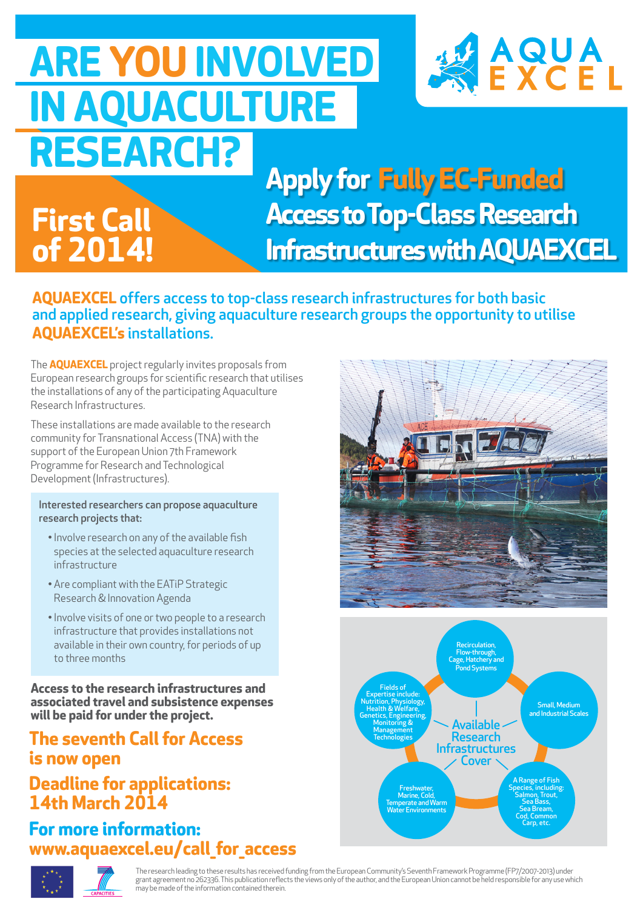### **ARE YOU INVOLVED IN AQUACULTURE RESEARCH?**



**Apply for Fully EC-Funded Access to Top-Class Research Infrastructures with AQUAEXCEL**

#### **AQUAEXCEL** offers access to top-class research infrastructures for both basic and applied research, giving aquaculture research groups the opportunity to utilise **AQUAEXCEL's** installations.

The **AQUAEXCEL** project regularly invites proposals from European research groups for scientific research that utilises the installations of any of the participating Aquaculture Research Infrastructures.

These installations are made available to the research community for Transnational Access (TNA) with the support of the European Union 7th Framework Programme for Research and Technological Development (Infrastructures).

**First Call** 

**of 2014!**

#### Interested researchers can propose aquaculture research projects that:

- Involve research on any of the available fish species at the selected aquaculture research infrastructure
- Are compliant with the EATiP Strategic Research & Innovation Agenda
- Involve visits of one or two people to a research infrastructure that provides installations not available in their own country, for periods of up to three months

**Access to the research infrastructures and associated travel and subsistence expenses will be paid for under the project.**

#### **The seventh Call for Access is now open**

#### **Deadline for applications: 14th March 2014**

**For more information: www.aquaexcel.eu/call\_for\_access**







The research leading to these results has received funding from the European Community's Seventh Framework Programme (FP7/2007-2013) under grant agreement no 262336. This publication reflects the views only of the author, and the European Union cannot be held responsible for any use which may be made of the information contained therein.